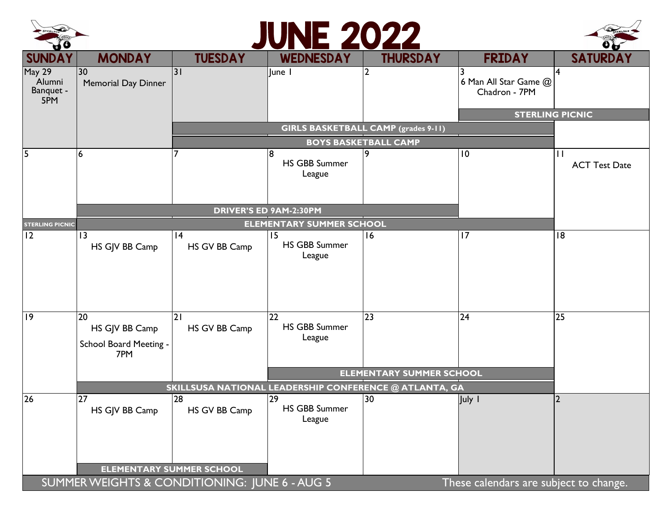

## JUNE 2022



| $\mathbf{v}$<br><b>SUNDAY</b>                                                           | <b>MONDAY</b>                                          | <b>TUESDAY</b>                                                            | <b>WEDNESDAY</b>                                  | <b>THURSDAY</b>                 | <b>FRIDAY</b>                          | <b>SATURDAY</b>           |  |  |  |
|-----------------------------------------------------------------------------------------|--------------------------------------------------------|---------------------------------------------------------------------------|---------------------------------------------------|---------------------------------|----------------------------------------|---------------------------|--|--|--|
| <b>May 29</b><br>Alumni<br>Banquet -<br>5PM                                             | 30<br><b>Memorial Day Dinner</b>                       | $\overline{\mathsf{3}}$                                                   | June I                                            |                                 | 6 Man All Star Game @<br>Chadron - 7PM | 4                         |  |  |  |
|                                                                                         |                                                        |                                                                           |                                                   |                                 |                                        | <b>STERLING PICNIC</b>    |  |  |  |
|                                                                                         |                                                        | <b>GIRLS BASKETBALL CAMP (grades 9-11)</b><br><b>BOYS BASKETBALL CAMP</b> |                                                   |                                 |                                        |                           |  |  |  |
|                                                                                         | 6                                                      |                                                                           | <b>HS GBB Summer</b>                              |                                 | 10                                     | П<br><b>ACT Test Date</b> |  |  |  |
|                                                                                         |                                                        |                                                                           | League                                            |                                 |                                        |                           |  |  |  |
|                                                                                         |                                                        |                                                                           | <b>DRIVER'S ED 9AM-2:30PM</b>                     |                                 |                                        |                           |  |  |  |
| <b>STERLING PICNIC</b>                                                                  |                                                        | <b>ELEMENTARY SUMMER SCHOOL</b>                                           |                                                   |                                 |                                        |                           |  |  |  |
| 12                                                                                      | 3<br>HS GJV BB Camp                                    | 4<br>HS GV BB Camp                                                        | 15<br><b>HS GBB Summer</b><br>League              | 16                              | 17                                     | $\overline{18}$           |  |  |  |
| $\overline{19}$                                                                         | 20<br>HS GJV BB Camp<br>School Board Meeting -<br>7PM  | 21<br>HS GV BB Camp                                                       | 22<br><b>HS GBB Summer</b><br>League              | 23                              | 24                                     | 25                        |  |  |  |
|                                                                                         |                                                        |                                                                           |                                                   | <b>ELEMENTARY SUMMER SCHOOL</b> |                                        |                           |  |  |  |
|                                                                                         | SKILLSUSA NATIONAL LEADERSHIP CONFERENCE @ ATLANTA, GA |                                                                           |                                                   |                                 |                                        |                           |  |  |  |
| 26                                                                                      | 27<br>HS GJV BB Camp                                   | $\overline{28}$<br>HS GV BB Camp                                          | $\overline{29}$<br><b>HS GBB Summer</b><br>League | 30                              | July I                                 | $\overline{2}$            |  |  |  |
| <b>ELEMENTARY SUMMER SCHOOL</b>                                                         |                                                        |                                                                           |                                                   |                                 |                                        |                           |  |  |  |
| SUMMER WEIGHTS & CONDITIONING: JUNE 6 - AUG 5<br>These calendars are subject to change. |                                                        |                                                                           |                                                   |                                 |                                        |                           |  |  |  |